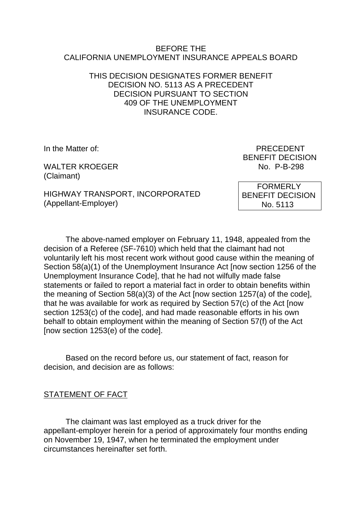### BEFORE THE CALIFORNIA UNEMPLOYMENT INSURANCE APPEALS BOARD

# THIS DECISION DESIGNATES FORMER BENEFIT DECISION NO. 5113 AS A PRECEDENT DECISION PURSUANT TO SECTION 409 OF THE UNEMPLOYMENT INSURANCE CODE.

WALTER KROEGER NO. P-B-298 (Claimant)

In the Matter of: PRECEDENT BENEFIT DECISION

HIGHWAY TRANSPORT, INCORPORATED (Appellant-Employer)

 FORMERLY BENEFIT DECISION No. 5113

The above-named employer on February 11, 1948, appealed from the decision of a Referee (SF-7610) which held that the claimant had not voluntarily left his most recent work without good cause within the meaning of Section 58(a)(1) of the Unemployment Insurance Act [now section 1256 of the Unemployment Insurance Code], that he had not wilfully made false statements or failed to report a material fact in order to obtain benefits within the meaning of Section 58(a)(3) of the Act [now section 1257(a) of the code], that he was available for work as required by Section 57(c) of the Act [now section 1253(c) of the code], and had made reasonable efforts in his own behalf to obtain employment within the meaning of Section 57(f) of the Act [now section 1253(e) of the code].

Based on the record before us, our statement of fact, reason for decision, and decision are as follows:

## STATEMENT OF FACT

The claimant was last employed as a truck driver for the appellant-employer herein for a period of approximately four months ending on November 19, 1947, when he terminated the employment under circumstances hereinafter set forth.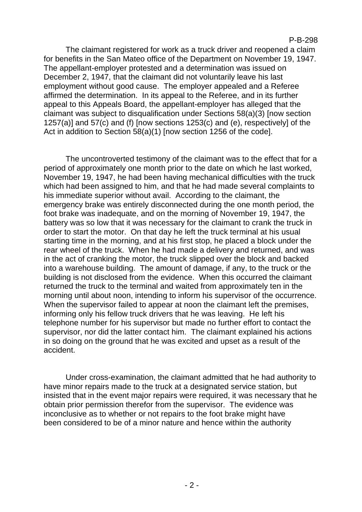The claimant registered for work as a truck driver and reopened a claim for benefits in the San Mateo office of the Department on November 19, 1947. The appellant-employer protested and a determination was issued on December 2, 1947, that the claimant did not voluntarily leave his last employment without good cause. The employer appealed and a Referee affirmed the determination. In its appeal to the Referee, and in its further appeal to this Appeals Board, the appellant-employer has alleged that the claimant was subject to disqualification under Sections 58(a)(3) [now section 1257(a)] and 57(c) and (f) [now sections 1253(c) and (e), respectively] of the Act in addition to Section 58(a)(1) [now section 1256 of the code].

The uncontroverted testimony of the claimant was to the effect that for a period of approximately one month prior to the date on which he last worked, November 19, 1947, he had been having mechanical difficulties with the truck which had been assigned to him, and that he had made several complaints to his immediate superior without avail. According to the claimant, the emergency brake was entirely disconnected during the one month period, the foot brake was inadequate, and on the morning of November 19, 1947, the battery was so low that it was necessary for the claimant to crank the truck in order to start the motor. On that day he left the truck terminal at his usual starting time in the morning, and at his first stop, he placed a block under the rear wheel of the truck. When he had made a delivery and returned, and was in the act of cranking the motor, the truck slipped over the block and backed into a warehouse building. The amount of damage, if any, to the truck or the building is not disclosed from the evidence. When this occurred the claimant returned the truck to the terminal and waited from approximately ten in the morning until about noon, intending to inform his supervisor of the occurrence. When the supervisor failed to appear at noon the claimant left the premises, informing only his fellow truck drivers that he was leaving. He left his telephone number for his supervisor but made no further effort to contact the supervisor, nor did the latter contact him. The claimant explained his actions in so doing on the ground that he was excited and upset as a result of the accident.

Under cross-examination, the claimant admitted that he had authority to have minor repairs made to the truck at a designated service station, but insisted that in the event major repairs were required, it was necessary that he obtain prior permission therefor from the supervisor. The evidence was inconclusive as to whether or not repairs to the foot brake might have been considered to be of a minor nature and hence within the authority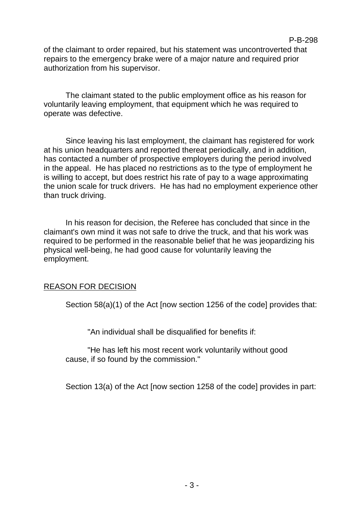# of the claimant to order repaired, but his statement was uncontroverted that repairs to the emergency brake were of a major nature and required prior authorization from his supervisor.

The claimant stated to the public employment office as his reason for voluntarily leaving employment, that equipment which he was required to operate was defective.

Since leaving his last employment, the claimant has registered for work at his union headquarters and reported thereat periodically, and in addition, has contacted a number of prospective employers during the period involved in the appeal. He has placed no restrictions as to the type of employment he is willing to accept, but does restrict his rate of pay to a wage approximating the union scale for truck drivers. He has had no employment experience other than truck driving.

In his reason for decision, the Referee has concluded that since in the claimant's own mind it was not safe to drive the truck, and that his work was required to be performed in the reasonable belief that he was jeopardizing his physical well-being, he had good cause for voluntarily leaving the employment.

# REASON FOR DECISION

Section 58(a)(1) of the Act [now section 1256 of the code] provides that:

"An individual shall be disqualified for benefits if:

"He has left his most recent work voluntarily without good cause, if so found by the commission."

Section 13(a) of the Act [now section 1258 of the code] provides in part:

#### P-B-298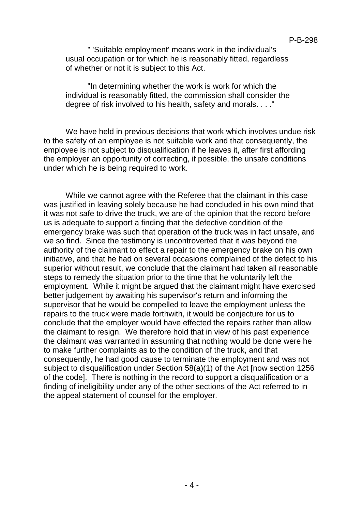" 'Suitable employment' means work in the individual's usual occupation or for which he is reasonably fitted, regardless of whether or not it is subject to this Act.

"In determining whether the work is work for which the individual is reasonably fitted, the commission shall consider the degree of risk involved to his health, safety and morals. . . ."

We have held in previous decisions that work which involves undue risk to the safety of an employee is not suitable work and that consequently, the employee is not subject to disqualification if he leaves it, after first affording the employer an opportunity of correcting, if possible, the unsafe conditions under which he is being required to work.

While we cannot agree with the Referee that the claimant in this case was justified in leaving solely because he had concluded in his own mind that it was not safe to drive the truck, we are of the opinion that the record before us is adequate to support a finding that the defective condition of the emergency brake was such that operation of the truck was in fact unsafe, and we so find. Since the testimony is uncontroverted that it was beyond the authority of the claimant to effect a repair to the emergency brake on his own initiative, and that he had on several occasions complained of the defect to his superior without result, we conclude that the claimant had taken all reasonable steps to remedy the situation prior to the time that he voluntarily left the employment. While it might be argued that the claimant might have exercised better judgement by awaiting his supervisor's return and informing the supervisor that he would be compelled to leave the employment unless the repairs to the truck were made forthwith, it would be conjecture for us to conclude that the employer would have effected the repairs rather than allow the claimant to resign. We therefore hold that in view of his past experience the claimant was warranted in assuming that nothing would be done were he to make further complaints as to the condition of the truck, and that consequently, he had good cause to terminate the employment and was not subject to disqualification under Section 58(a)(1) of the Act [now section 1256 of the code]. There is nothing in the record to support a disqualification or a finding of ineligibility under any of the other sections of the Act referred to in the appeal statement of counsel for the employer.